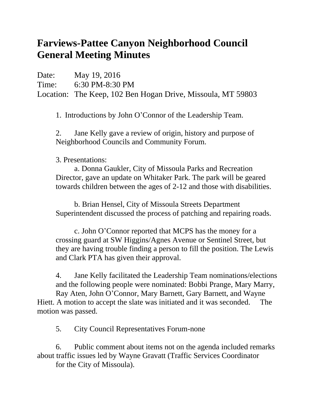## **Farviews-Pattee Canyon Neighborhood Council General Meeting Minutes**

Date: May 19, 2016 Time: 6:30 PM-8:30 PM Location: The Keep, 102 Ben Hogan Drive, Missoula, MT 59803

1. Introductions by John O'Connor of the Leadership Team.

2. Jane Kelly gave a review of origin, history and purpose of Neighborhood Councils and Community Forum.

3. Presentations:

a. Donna Gaukler, City of Missoula Parks and Recreation Director, gave an update on Whitaker Park. The park will be geared towards children between the ages of 2-12 and those with disabilities.

b. Brian Hensel, City of Missoula Streets Department Superintendent discussed the process of patching and repairing roads.

c. John O'Connor reported that MCPS has the money for a crossing guard at SW Higgins/Agnes Avenue or Sentinel Street, but they are having trouble finding a person to fill the position. The Lewis and Clark PTA has given their approval.

4. Jane Kelly facilitated the Leadership Team nominations/elections and the following people were nominated: Bobbi Prange, Mary Marry, Ray Aten, John O'Connor, Mary Barnett, Gary Barnett, and Wayne Hiett. A motion to accept the slate was initiated and it was seconded. The motion was passed.

5. City Council Representatives Forum-none

6. Public comment about items not on the agenda included remarks about traffic issues led by Wayne Gravatt (Traffic Services Coordinator for the City of Missoula).